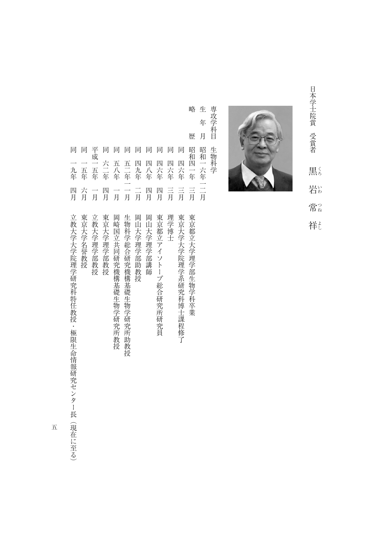日本学士院賞 受賞者 日本学士院賞 エコーラー・ファイル しょうせい 黒く しゅうしょう こうしょう こうしゃ こうしゃ アイ・プレート かいしゃ かんきょう かんきょう かんきょう かんきょう かんきょう かんきょう かんきょう かんきょう かんきょう かんきょう かんきょう 岩い 常。 祥



生 専攻学科目 専攻学科目生物科学 年 月 生物科学

略

- 生年月昭和一六年一二月 歴 同 同 平成一五年 同 同 同 同 同 同 同 昭和四一年 昭和一六年一二月 同四六年三月理学博士 六二年 四六年 五年 四九年 四八年 四六年 四六年 一五年 五八年  $\frac{-}{\overline{H}}$ 言 言月 三月 六月 四月 一月 四月 四月 一月 一月
- 《後*世論》*<br>『後世論》は『後世論》は『後世論》は『後世論》は『後世論》は『後世論》は『後世論》は『後世論》は『後世論》は『後世論》は『後世論》は『後世論》は『後世論》は『後世論》は『後世論》は『後世論》は『後世論》は『後世論》は『後 同一五年六月東京大学名誉教授 平成一五年一月立教大学理学部教授 同六二年四月東京大学理学部教授 『日本大学の研究所教授』 『日本大学の研究所教授』 『日本大学の研究所教授』 『日本大学の研究所教授』 『日本大学の研究所教授』 『日本大学の研究所教授』 『日本大学の研究所教授』 『日本大学の研究所 同五二年一一月生物科学総合研究機構基礎生物学研究所助教授 同四九年二月岡山大学理学部助教授 同四八年四月 岡山大学学部 神学学部 神学学部 神学学部 神学学部 神学学部 神学学部 神学学部 同一四十年1月長月東京都立アイソトープ総合研究所研究所研究局 (1986年10月長月東京都立アイソトープ総合研究所研究所研究所研究所研究所研究所研究所研究所研究所 同一年三月東京大学大学院理学系研究科博士课程修订,1989年(1989年) 1989年(1989年) 1989年(1989年) 1989年(1989年) 1989年(1989年) 1989年(1989年) 1989年(1 東京大学名誉教授 立教大学理学部教授 東京大学理学部教授 岡崎国立共同研究機構基礎生物学研究所教授 生物科学総合研究機構基礎生物学研究所助教授 岡山大学理学部助教授 岡山大学理学部講師 東京都立アイソトープ総合研究所研究員 理学博士 東京大学大学院理学系研究科博士課程修了 東京都立大学理学部生物学科卒業

五

同一九年12月22日 - 1982年 - 1982年 - 1982年 - 1982年 - 1982年 - 1982年 - 1982年 - 1982年 - 1982年 - 1982年 - 1982年 - 1982年 - 1<br>1982年 - 1982年 - 1982年 - 1982年 - 1982年 - 1982年 - 1982年 - 1982年 - 1982年 - 1982年 - 1982年 - 1982年 - 1982年 - 1982年

立教大学大学院理学研究科特任教授・極限生命情報研究センター長(現在に至る)

同

九年

四月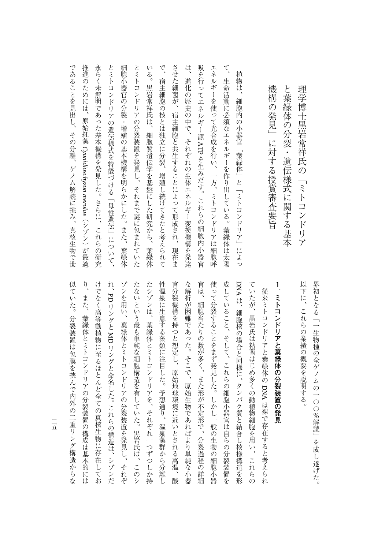以下に、これらの業績の概要を説明する。 界初となる「一生物種の全ゲノムの一〇〇%解読」を成し遂げた。 界初となる「一生物種の全ゲノムの一〇〇%解読」を成し遂げた。

(1)に、これらの業績の概要を説明する。 これらの業績の解剖を説明する。

理学博士黒岩常祥氏の「ミトコンドリア

理学博士黒岩常祥氏の「ミトコンドリア

## **1 マトコンドリアと葉緑体の分裂を使われる。**

似ていた。分裂装置は包膜を挟んで内外の二重リング構造からな り、また、葉緑体とミトコンドリアの分裂装置の構成は基本的には けでなく高等動植物に至るほとんど全ての真核生物に存在してお ゾンを用い、葉緑体とミトコンドリアの分裂装置を発見し、それぞ たないという最も単純な細胞構造を有していた。黒岩氏は、このシ たシゾンは、葉緑体とミトコンドリアを、それぞれ一つずつしか持 性温泉に生息する藻類に注目した。予想通り、温泉藻群から分離し 官分裂機構を持つと想定し、原始地球環境に近いとされる高温、酸 な解析が困難であった。そこで、原始生物であればより単純な小器 官は、細胞当たりの数が多く、また形が不定形で、分裂過程の詳細 使って分裂することをまず発見した。しかし一般の生物の細胞小器 成していること、そして、これらの細胞小器官は自らの分裂装置を DNA は、細胞核の場合と同様に、タンパク質と結合し核様構造を形 ていたが、黒岩氏は粘菌はじめ多くの動植物細胞を用い、これらの 似ていた。分裂装置は包膜を挟んで内外の二重リング構造からな り、また、葉緑体とミトコンドリアの分裂装置の構成は基本的には けでは、そのような情報によってもある。 こうしゃ こうしゅう こうしゅう こうしょう こうしゅう こうしょう こうしゅう こうしゅう こうしゅう こうしゅう こうしゅう **ということには、** ゾンを用い、葉緑体とミトコンドリアの分裂装置を発見し、それぞ たないという場合は、黒岩氏は、このシステムは、黒岩氏は、このシステムは、このシステムは、このシステムは、このシステムは、このシステムは、このシステムは、このシステムは、このシステムは、このシステムは、 たシゾンは、葉緑体とミトコンドリアを、それぞれには、葉緑体とミトコンドリアを、それぞれには、それぞれのことがあり、それぞれのことがあり、それぞれのことがあり、それぞれのことがあり、それぞれのことがあり 性温泉に生息する藻類に注目した。予想通り、温泉藻群から分離し 官分裂機構を持つと想定し、原始地球環境に近いとされる高温、酸 ながらない たいしょう はいしゅう こうしゅう こうしゅう こうしゅう こうしゅう こうしゅう こうしゅう こうしゅう こうしゅう こうしゅう こうしゅう こうしゅう 官は、細胞当たりの数が多く、また形が不定形で、分裂過程の詳細 使って分裂することをまず発見した。しかし一般の生物の細胞小器 成していること、そして、これらの細胞小器官は自らの分裂装置を ていたが、黒岩氏は粘菌は出るの動植物細胞を用いていたが、黒岩氏は粘菌は出血の動植物細胞を用いていたが、これらの動植物細胞を用いていたが、これらの動植物細胞を用いていたが、これらの動植物細胞を用いていた 従来ミトコンドリアと葉緑体の DNA は裸で存在すると考えられ ਦ しゅうしゅ しゅうしゅう しゅうしゅう しゅうしゅう しゅうしゅう しゅうしゅう しゅうしゅう しゅうしゅう しゅうしゅう しゅうしゅう しゅうしゅう しゅうしゅう しゅうしゅう しゅうしゅう しゅうしゅう しゅうしゃ は、 タンパク質とは、 タンパク質と解剖を形成しているのは、 タンパク質と タンパク質と はんしゃ アクセス はんしゅう かんきょう はんしゅう かんきょう かんきょう かんきょう かんきょう  $\Xi$ リングと これらの構造は、 シゾンだい これらの これらの これらの これら これら これらい はない はんしゅう こうしょう こうしょう こうしゃ しゅうしゃ しゅうしゅう しゅうしゅう しゅうしゅう しゅうしゅう しゅうしゅう しゅうしゅう しゅうしゅう

 $\frac{1}{1}$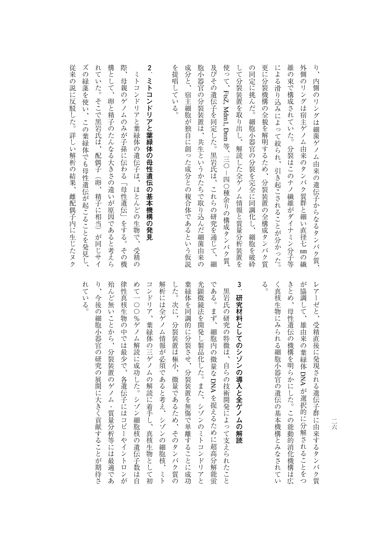構として、卵と精子のたんなる大きさの違いが原因であると考えら 際 **2** を提唱している。 更に分裂機構の全貌を解明するため、分裂装置の全構成タンパク質 維の束で構成されていた。分裂はこのナノ繊維がダイナミン分子等 外側のリングは宿主ゲノム由来のタンパク質群と細い直径七 mの繊  $\sqrt{2}$ 成分と、 胞小器官の分裂装置は、共生というかたちで取り込んだ細菌由来の 及びその遺伝子を同定した。黒岩氏は、これらの研究を通じて、細 して分裂装置を取り出し、解読した全ゲノム情報と質量分析装置を の同定に挑んだ。細胞小器官の分裂を完全に同調化し、細胞を破砕 による滑り込みによって絞られ、引き起こされることが分かった。 たんなる 大きさの こうしょう こうしょう こうしょう こうしょう こうしょう こうしょう こうしょう こうしょう こうしょう こうしょう こうしょう こうしょう 際、母親のゲノムのみが子孫に伝わる「母性遺伝」をする。その機 を提唱している。 たんきょう こんきょう こうしゅうしゅ こうしゅう こうしゅう こうしゅう こうしゅう こうしゅう こうしゅう こうしゅう こうしゅう こうしゅう こうしゅう こうしゅう 胞小器官の分裂装置は、共生というかたちで取り込んだ細菌由来の 及びその遺伝子を同定した。黒岩氏は、これらの研究を通じて、細 してのようなもので、解説の意識を取り出し、解説の意識を取り出し、解説の意識を取り出し、解説の意識を取り出し、解説の意識を取り出し、解説の意識を取り出し、解説の意識を取り出し、解説の意識を取り出し、解説 の同定に関係し、細胞の分裂を保険を保険し、細胞の分裂を保険している。細胞の分裂を保険している。細胞の分裂を保険している。 (の) 更に分裂機構の全貌を解明するため、分裂装置の全構成タンパク質 には、これは、これは、引き起こされ、引き起こされ、引き起こされ、引き起こされ、引き起こされ、引き起こされ、引き起こされ、引き起こされ、引き起こされ、引き起こされ、引き起こされ、引き起こされ、引き起こさ 維の束で構成されていた。分裂はこのナノ繊維がダイナミン分子等 クンパク質は「その子供」ということには、その子供には「その子供」ということには、「その子供」ということには、「その子供」ということには、「その子供」ということには、「その子供」ということには、「その子 り、内側のリングは、内側のリングは、内側のリングは、内側のリングは、内側のリングは、内側のリングは、内側のリングは、内側のリングは、内側のリングは、内側のリングは、内側のリングは、内側のリングは、内側 ミトコンドリアと葉緑体の遺伝子は、ほとんどの生物で、受精の ミトコンドリアと葉緑体の母性遺伝の基本機構の発見 ミトコンドリアと集まり、この生物で、どの生物で、どの生物で、どの生物で、どの生物で、どの生物で、どの生物で、どの生物で、どの生物で、どの生物で、どの生物で、どの生物で、どの生物で、どの生物で、どの生物 母親のゲノムのみが子孫に伝わる「母性遺伝」をする。その機 内側のリングは細菌ゲノム由来の遺伝子からなるタンパク質、 **ミトコンドリアと葉緑体の母性遺伝の基本機構の発見** 宿主細胞が独自に創った成分との複合体であるという仮説  $\rm{FtsZ}$ Mdm1, Dnm 、 三〇 「 卩 〇 和NR )の 相 反メン・ノノクリ の繊

従来の説に反駁した。詳しい解析の結果、 ズの緑藻を使い、この葉緑体でも母性遺伝が起こることを発見し、 れていた。そこで黒岩氏は、配偶子 ズの緑藻を使い、この葉緑体でも子供では、この葉緑体でも子供では、その葉緑体でも子供では、その葉緑体でも子供では、その葉緑体では、その葉緑体では、その葉緑体では、その葉緑体では、その葉緑体では、その葉緑 れていた。そこで黒岩氏は、配偶子(卵、精子に相当)が同じサイ 卵、 雌配偶子内に生じたヌク 精子に相当)が同じサイ

べ、 『大学の結果、『大学の結果』、『大学の結果、『大学の結果』、『大学の結果、『大学の結果』、『大学の結果』、『大学の結果』、『大学の結果』、『大学の結果』、『大学の結果』、『大学の結果』、『大学の結果』、『大学の結果』、『大学の結果』、『大学の結果』、『大学の結果』、『大学の結果』、『大学の結果』、『大学の結果』、『大学の結果』、『大学の結果』、『大学の結果』、『大学の結果』、『大学の結果』、『大学の結果』、『大学の結果』、『大学の

れている。

 $\ensuremath{\mathring{\delta}}_o$ きとめ、母性遺伝の機構を明らかにした。この能動的消化機構は広 が協調して、雄由来の葉緑体 DNA が選択的に分解されることをつ く真核生物にみられる細胞小器官の遺伝の基本機構とみなされて レアーゼと、受精直後に発現される遺伝子群に由来するタンパク質 く言葉の きょうしゅう こうしゅう こうしゅう こうしゅう こうしゅう こうしゅう こうしゅう こうしゅう こうしゅう こうしゅう こうしゅう こうしゅう こうしゅう きしき きょうかい きょうかい この能動的 この能動的 この能動的 こうしん しゅうしょう こうしん が協調して、雄由 レアーゼと、受精直後に発現される遺伝子群に由来するタンパク質 来の葉緑体ことは こくりょう こくしゅう こうしゃ アイ・プレート こうしゃ かんこう しゅうしゃ かんこう しゅうしゅう しゅうしゃ かんこう しゅうしゃ アイ・プレーター しゅうしゃ かんこう しゅうしゃ しゅうしゃ しゅうしゃ

## **3 研究材料としてのシゾンの導入と全ゲノムの解読**

 $\hat{v}$ である。まず、細胞内の微量な DNA を捉えるために超高分解能蛍 れている。 殆んど無いことから、分裂装置のゲノム・質量分析等には最適であ 律性真核生物の中では最少で、各遺伝子にはコピーやイントロンが めて一〇〇%ゲノム解読に成功した。シゾン細胞核の遺伝子数は自 コンドリア、葉緑体の三ゲノムの解読に着手し、真核生物として初 解析には全ゲノム情報が必須であると考え、シゾンの細胞核、 した。次に、分裂装置は極小、微量であるため、そのタンパク質の 葉緑体を同調的に分裂させ、分裂装置を無傷で単離することに成功 光顕微鏡法を開発し製品化した。また、シゾンのミトコンドリアと り、今後の細胞小器官の研究の開発が開催されていることがあります。 こうしゅう しゅうしゅう こうしゅう こうしゅう こうしゅう こうしゅう こうしゅう こうしゅう こうしゅう んどには、 みんどには いっぱい こんしゅう かんしゅう かんしゅう かんしゅう かんしゅう かんしゅう かんしゅう かんしゅう かんしゅう かんしゅう かんしゅう → イントロンは「その子にはコピーの中ではコピーやイントロンが「その子にはコピーの子にはコピーの子にはコピーの子にはコピーの子にはコピーの子にはコピーの子にはコピーの子にはコピーの子にはコピーの子にはコピーの子にはコピー<br>コントロンがある。 ついて しゅうしゅう しゅうしゅ しゅうしゅ しゅうしゅう しゅうしゅう しゅうしゅうしゅ しゅうしゅうしゅ しゅうしゅうしゅうしゅうしゅ コンドリア、 キャラ スター・コンドリア スター・コンド アルバー・コンド しゅうしょう しゅうしゅうしょう しゅうしゅうしょう しゅうしゅうしょう しゅうしゅうしょう しゅうしゅうしょう 解析には全ゲノム情報が必須であると考え、シゾンの細胞核、ミト した。次に、分裂装置は極小、微量であるため、そのタンパク質の 学者のことには、そのことには、そのことには、そのことには、そのことに成功してもあることには、そのことには、そのことには、そのことには、そのことには、そのことには、そのことには、そのことには、そのことに 光明微鏡法 大明 こうしゅう こうしゅう こうしゅう こうしゅう こうしゅう こうしゅう こうしゅう こうしゅう こうしゅう こうしょう である。まず、細胞内の微量な黒岩氏の研究の特徴は、自らの技術開発によって支えられたこと 今後の細胞小器官の研究の展開に大きく貢献することが期待さ 馬島氏の研究の特徴は、自らの体制開発によって支えられたことがある。 しゅうしゅう しゅうしゅう しゅうしゅう しゅうしゅう しゅうしゅう しゅうしゅう しゅうしゅ を捉えるために超高分解能蛍 ミト

二去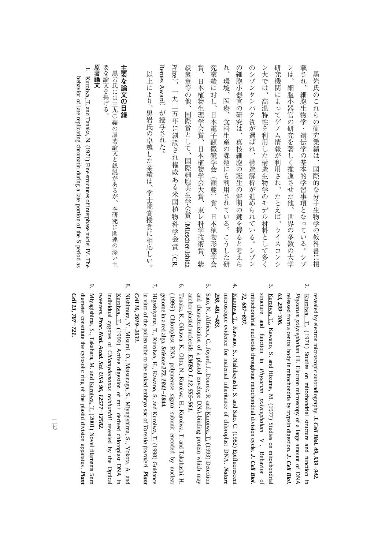## 主要な論文の目録 **一部の目録の場合の場合を制**める。<br>-

要な論文を掲げる。 黒岩氏には三九〇編の原著論文と総説があるが、本研究に関連の深い主 黒島氏には三九〇編の原著論文と総説があるが、本研究に関連の深い主張を示す。 このあるが、本研究に関連の深い主張を示す。

## 原著論文 **原著論文**

要な論文を掲げる。

**.**  Kuroiwa, T. and Tanaka, N. (1971) Fine structures of interphase nuclei IV. The behavior $\overline{a}$  late replicating chromatin during a late portion ofthe S period as

> revealed $\mathsf{\acute{e}}$  electron microscopicautoradiography. *J. Cell Biol. 49, 939−942.*

- 2. $K$ uroiwa,  $T$ . (1974) Studies on mitochondrialstructure and functionin. *Physarum polycephalum*  $\Xi$  Electron microscopy of a large amount of DNA released from a central bodyin. mitochondria $\mathsf s$  trypsin digestion. *J. Cell Biol. 63, 299−306.*
- 3. Kuroiwa, T., Kawano, S. and Hizume, M. (1977) Studies on mitochondrial structure and function in *Physarum polycephalum*  $\leq$  Behavior<u>ຊ</u> mitochondrial nucleoidsthroughout mitochondrial division cycle. *J. Cell Biol.* 72, 687–697.  *687−697.*
- 4. Kuroiwa, T., Kawano, S., Nishibayashi, S. and Sato, C. (1982) Epifluorescent microscopic evidence for maternal inheritance<u>ຊ</u> chloroplast DNA. *Nature* 298, 481-483.  *481−483.*
- 5. Sato,z<br>: Alfrieux, $\Omega$  Joyard, J., Dource, R. and Kuroiwa, T. (1993) Detection anchor plastid nucleoids. and characterization of a plastid envelope DNA-binding protein which may *EMBO J. 12, 555−561.*
- 6. Tanaka, K., Oikawa, K., Ohta, N., Kuroiwa, H., Kuroiwa, T. and Takahashi, H. genome in a red alga. ( 1996 ) Chloroplast RNA polymerase sigma subunit encoded $\mathsf s$  nuclear *Science 272, 1841−1844.*
- 7. Higashiyama, T., Kuroiwa, H., Kawano, S. and Kuroiwa, T. (1998) Guidance in vitro of the pollen tube $\overline{5}$  the naked embryo sac of *Torenia fournieri. Plant Cell 10, 2019−2031.*
- 8. Nishimura, $\mathbf{K}$  Misumi, O., Matsunaga, S., Miyagishima, S., Yokota, A. and individual zygotes of Kuroiwa, T. (1999) Active digestion $\Omega$  $\mathbb{H}_+$  derived chloroplast DNAin. *Chlamydomonasreinhardtii* revealed $\mathsf{\overline{g}}$  the Optical tweezers. *Proc. Natl. Acad. Sci. USA 96, 12577−12582.*
- 9. Miyagishima, S., Takahara, M. and Kuroiwa, T. (2001) Novel filaments 5nm diameter constitute the cytosolic ring of the plastid division apparatus. *Plant Cell 13, 707−721.*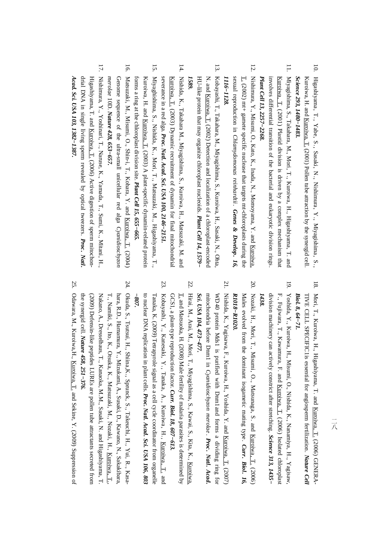- 10. Higashiyama, T., Yabe, S., Sasaki, N., Nishimura, Y., Miyagishima, S., *Science 293, 1480−1483.* Kuroiwa, H. and Kuroiwa, T. (2001) Pollen tube attraction $\mathbf{\hat{z}}$  the synergidcell.
- 11. Miyagishima, S., Takahara, M., Mori, T., Kuroiwa, H., Higashiyama, T. and *Plant Cell 13, 2257−2268.* involves differential transition of the bacterial and eukaryotic division rings. Kuroiwa, T. (2001) Plastid division is driven by a complex mechanismthat
- 12.*1116−1128.* sexualT. (2002) Nishimura,1116–1128. reproduction $\mathbb{H}_+$  $\mathbf{y}$  gamete specific Misumi, O., Kato, K.,in. *Chlamydomonas* nuclease Inada, $\tan$ *reinhardtii.* z<br>: targets Momoyama, mt-chloroplasts*Genes* Y. and Kuroiwa,  *& Develop.* during *16,* the
- 13. Kobayashi,**ب**  Takahara, M., Miyagishima, S., Kuroiwa,H., Sasaki, N., Ohta, HU-like protein that may organize chloroplast nucleoids. N. and Kuroiwa, T. (2002) Detection and localization of a chloroplast-encoded *Plant Cell 14, 1579− 1589.*
- 14. Nishida, K., Takahara M., Miyagishima, S., Kuroiwa, H., Matsuzaki, M. and severance in a red alga. Kuroiwa, T. (2003) Dynamic recruitment<u>ຊ</u> dynamin for final mitochondrial *Proc. Natl. Acad. Sci. USA 100, 2146−2151.*
- 15. Miyaghishima, S., Nishida, K., Mori, T., Matsuzaki, M., Higashiyama, T., forms a ring at the chloroplast division site. Kuroiwa, H. and Kuroiwa, T. (2003) A plant-specific dynamin-related protein *Plant Cell 15, 655−665.*
- 16. Matsuzaki, M., Misumi, O., Shin-i, T., Kohara, Y. and Kuroiwa, T. (2004) Genome sequence of the ultra-small unicellular red alga *Cyanidioschyzon merolae* 10D. *Nature 428, 653−657.*
- 17. Nishimura, $\breve{X}$  Yoshinari, T., Naruse, K., Yamada, T., Sumi, K., Mitani, H., drial DNA in single living sperm revealed by optical tweezers. Higashiyama, T. and Kuroiwa, T. (2006) Active digestion of sperm mitochon-*Proc. Natl. Acad. Sci. USA 103, 1382−1387.*

- 18. Mori, T., Kuroiwa, H., Higashiyama, T. and Kuroiwa, T. (2006) GENERA-TIVE CELL SPECIFIC1is essential for angiosperm fertilization. *Nature Cell Biol. 8, 64−71.*
- 19. Yoshida, Y., Kuroiwa, H., Misumi, O., Nishida, K., Nanamiya, H., Yagisaw, division machinery can actively constrict after stretching. F., Fujiwara, T., Kawamura, F. and Kuroiwa, T. (2006) Isolated chloroplast *Science 313, 1435− 1438.*
- 20.R1018-R1020. *R1018−R1020.* Nozaki,Males evolved H., Mori, from**ب**: the Misumi, O., dominant isogametic Matsunaga, mating S. and Kuroiwa, type. *Curr.* T. (2006)  *Biol. 16,*
- 21. Nishida, K., Yagisawa, F., Kuroiwa, H., Yoshida, Y. and Kuroiwa, T. (2007) mitochondria before $L_{\rm mnd}$ i.  $^{0+0}$  proteinMds1 is purified with Dnm1and forms a dividing ring for *Cyanidioschyzon merolae* . *Proc. Natl. Acad. Sci. USA 104, 473−477.*
- 22. Hirai, M., Arai, M., Mori, T., Miyagishima, S., Kawai, S., Kita, K., Kuroiwa, GCS1, a plant-type reproduction factor. T. and Matsuoka, H. (2008) Male fertility of malaria parasites is determined by *Curr. Biol. 18, 607−613.*
- 23. Kobayashi, Y., Kanesaki, Y., Tanaka, A., Kuroiwa, H., Kuroiwa, T. and to nuclear DNA replicationin. plant cells. Tanaka, K. (2009) Tetrapyrole signal as a cell cycle coordinator from organelle *Proc. Natl. Acad. Sci. USA 106, 803 −807.*
- 24. Okuda, S., Tsutsui,H., Shiina, K., Sprunck, S., Takeuchi, H., Yui, R., Kasathe synergid(2009) Defensin-like<br>the synergid cell. N**a**  peptides LUREs are pollen tube attractants secretedhara, R.D., Hamamura, Y., Mizukami, A., Susaki, D., Kawano, N., Sakakibara, T., Namiki, S., Ito, K., Otsuka, K., Matsuzaki, M., Nozaki, H., <u>Kuroiwa, T.,</u><br>T., Namiki, S., Ito, K., Otsuka, K., Matsuzaki, M., Nozaki, H., <u>K</u>
- 25. Odawara, M., Kuroiwa,H., Kuroiwa, T. and Sekine, Y. (2009) Suppressionof